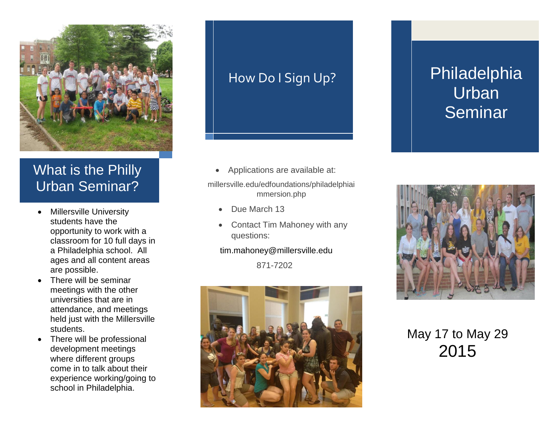

### What is the Philly Urban Seminar?

- Millersville University students have the opportunity to work with a classroom for 10 full days in a Philadelphia school. All ages and all content areas are possible.
- There will be seminar meetings with the other universities that are in attendance, and meetings held just with the Millersville students.
- There will be professional development meetings where different groups come in to talk about their experience working/going to school in Philadelphia.

### How Do I Sign Up?

• Applications are available at:

millersville.edu/edfoundations/philadelphiai mmersion.php

- Due March 13
- Contact Tim Mahoney with any questions:

tim.mahoney@millersville.edu

871-7202



# Philadelphia **Urban Seminar**



May 17 to May 29 2015